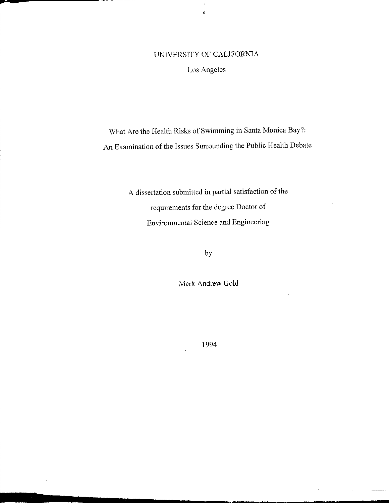# UNIVERSITY OF CALIFORNIA

j.

Los Angeles

What Are the Health Risks of Swimming in Santa Monica Bay?: An Examination of the Issues Surrounding the Public Health Debate

> A dissertation submitted in partial satisfaction of the requirements for the degree Doctor of Environmental Science and Engineering

> > by

Mark Andrew Gold

1994

\_\_\_\_\_ ••••••••• ~ .r,, \_

i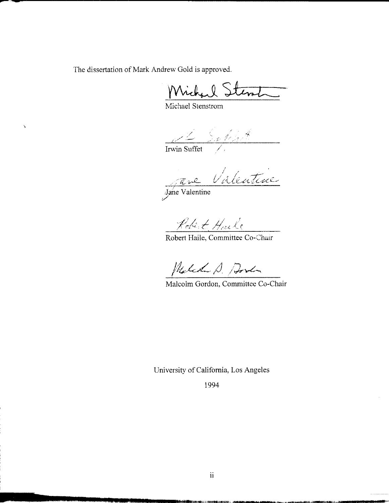The dissertation of Mark Andrew Gold is approved.

Michael Stent

Michael Stenstrom

~.-..---------------------------------------------------------------------------------------------

 $\frac{2}{\pi}$  Sultat

*r • /* // <sup>~</sup> / .~ <sup>~</sup> *t/ t"lD:::A:'-i.".L4--tl.:<sup>J</sup>*

Jahe Valentine :/

Robert Harle

Robert Haile, Committee Co-Chair

Malchan D. Dorda

Malcolm Gordon, Committee Co-Chair

University of California, Los Angeles

1994

**\_ 1&!lii.ii!2iiiiil!. .1UIIiUZ:U** iLu

À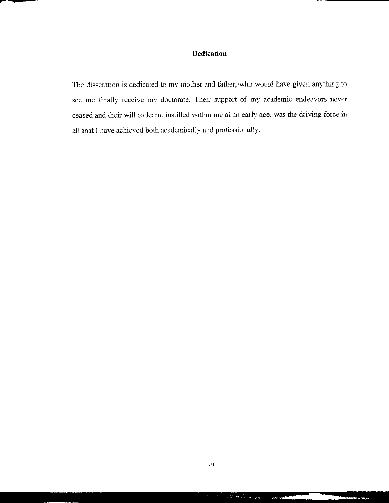## **Dedication**

---------------

The disseration is dedicated to my mother and father, who would have given anything to see me finally receive my doctorate. Their support of my academic endeavors never ceased and their will to learn, instilled within me at an early age, was the driving force in all that I have achieved both academically and professionally.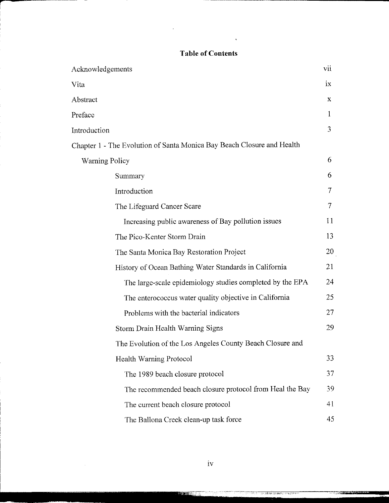## **Table of Contents**

 $\bar{\star}$ 

 $\overline{a}$ 

-----------

| Acknowledgements                                                       | vii           |
|------------------------------------------------------------------------|---------------|
| Vita                                                                   | $1\mathrm{X}$ |
| Abstract                                                               | X             |
| Preface                                                                | 1             |
| Introduction                                                           | 3             |
| Chapter 1 - The Evolution of Santa Monica Bay Beach Closure and Health |               |
| <b>Warning Policy</b>                                                  | 6             |
| Summary                                                                | 6             |
| Introduction                                                           | 7             |
| The Lifeguard Cancer Scare                                             | 7             |
| Increasing public awareness of Bay pollution issues                    | 11            |
| The Pico-Kenter Storm Drain                                            | 13            |
| The Santa Monica Bay Restoration Project                               | 20            |
| History of Ocean Bathing Water Standards in California                 | 21            |
| The large-scale epidemiology studies completed by the EPA              | 24            |
| The enterococcus water quality objective in California                 | 25            |
| Problems with the bacterial indicators                                 | 27            |
| Storm Drain Health Warning Signs                                       | 29            |
| The Evolution of the Los Angeles County Beach Closure and              |               |
| <b>Health Warning Protocol</b>                                         | 33            |
| The 1989 beach closure protocol                                        | 37            |
| The recommended beach closure protocol from Heal the Bay               | 39            |
| The current beach closure protocol                                     | 41            |
| The Ballona Creek clean-up task force                                  | 45            |

ter een

i art

 $\sim$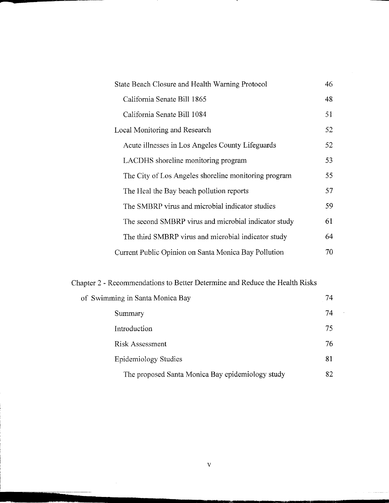| State Beach Closure and Health Warning Protocol      |     |
|------------------------------------------------------|-----|
| California Senate Bill 1865                          | 48  |
| California Senate Bill 1084                          | 51  |
| <b>Local Monitoring and Research</b>                 | 52  |
| Acute illnesses in Los Angeles County Lifeguards     | 52  |
| LACDHS shoreline monitoring program                  | 53  |
| The City of Los Angeles shoreline monitoring program | 55  |
| The Heal the Bay beach pollution reports             | 57  |
| The SMBRP virus and microbial indicator studies      | 59. |
| The second SMBRP virus and microbial indicator study | 61  |
| The third SMBRP virus and microbial indicator study  | 64  |
| Current Public Opinion on Santa Monica Bay Pollution | 70  |

л.

# Chapter 2 - Recommendations to Better Determine and Reduce the Health Risks

| of Swimming in Santa Monica Bay                  | 74 |
|--------------------------------------------------|----|
| Summary                                          | 74 |
| Introduction                                     | 75 |
| <b>Risk Assessment</b>                           | 76 |
| <b>Epidemiology Studies</b>                      | 81 |
| The proposed Santa Monica Bay epidemiology study | 82 |

~.li""""" nt\_::' \_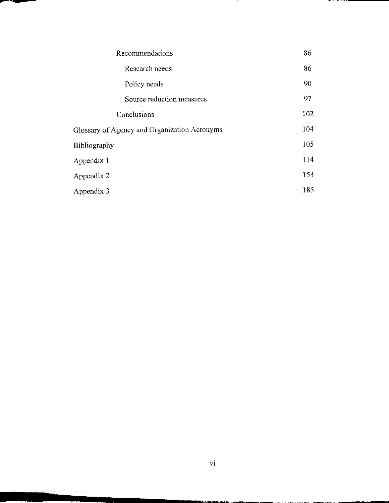| Recommendations                              | 86  |
|----------------------------------------------|-----|
| Research needs                               | 86  |
| Policy needs                                 | 90  |
| Source reduction measures                    | 97  |
| Conclusions                                  | 102 |
| Glossary of Agency and Organization Acronyms | 104 |
| <b>Bibliography</b>                          | 105 |
| Appendix 1                                   | 114 |
| Appendix 2                                   | 153 |
| Appendix 3                                   | 185 |

.

1IIIIIIIIIIII.- •••• II••••••II••••••••••••••••••• r·.:.m.7.7.r <sup>~</sup> <sup>~</sup> \_\_ "\_\_ <sup>~</sup> \_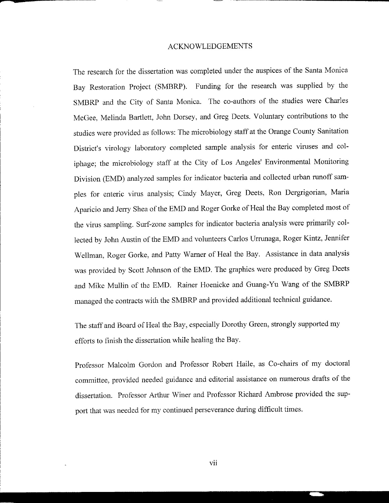#### ACKNOWLEDGEMENTS

The research for the dissertation was completed under the auspices of the Santa Monica Bay Restoration Project (SMBRP). Funding for the research was supplied by the 5MBRP and the City of Santa Monica. The co-authors of the studies were Charles McGee, Melinda Bartlett, John Dorsey, and Greg Deets. Voluntary contributions to the studies were provided as follows: The microbiology staff at the Orange County Sanitation District's virology laboratory completed sample analysis for enteric viruses and coliphage; the microbiology staff at the City of Los Angeles' Environmental Monitoring Division (EMD) analyzed samples for indicator bacteria and collected urban runoff samples for enteric virus analysis; Cindy Mayer, Greg Deets, Ron Dergrigorian, Maria Aparicio and Jerry Shea of the EMD and Roger Gorke of Heal the Bay completed most of the virus sampling. Surf-zone samples for indicator bacteria analysis were primarily collected by John Austin of the EMD and volunteers Carlos Urrunaga, Roger Kintz, Jennifer Wellman, Roger Gorke, and Patty Warner of Heal the Bay. Assistance in data analysis was provided by Scott Johnson of the EMD. The graphics were produced by Greg Deets and Mike Mullin of the EMD. Rainer Hoenicke and Guang- Yu Wang of the 5MBRP managed the contracts with the 5MBRP and provided additional technical guidance.

The staff and Board of Heal the Bay, especially Dorothy Green, strongly supported my efforts to finish the dissertation while healing the Bay.

Professor Malcolm Gordon and Professor Robert Haile, as Co-chairs of my doctoral committee, provided needed guidance and editorial assistance on numerous drafts of the dissertation. Professor Arthur Winer and Professor Richard Ambrose provided the support that was needed for my continued perseverance during difficult times.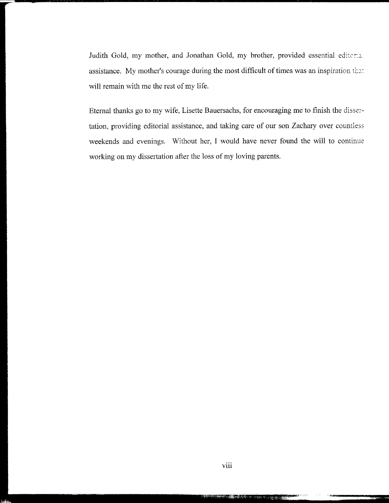Judith Gold, my mother, and Jonathan Gold, my brother, provided essential editcriz. assistance. My mother's courage during the most difficult of times was an inspiration ti.a: will remain with me the rest of my life.

Eternal thanks go to my wife, Lisette Bauersachs, for encouraging me to finish the dissertation, providing editorial assistance, and taking care of our son Zachary over countless weekends and evenings. Without her, I would have never found the will to continue working on my dissertation after the loss of my loving parents.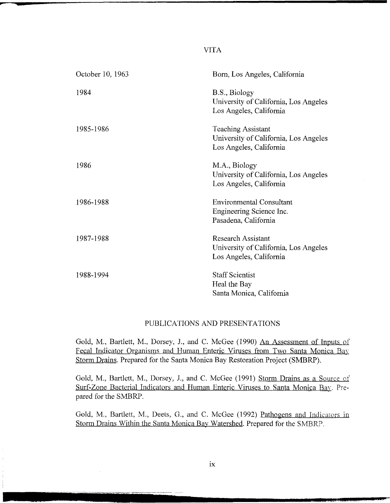### VITA

| October 10, 1963 | Born, Los Angeles, California                                                                 |
|------------------|-----------------------------------------------------------------------------------------------|
| 1984             | B.S., Biology<br>University of California, Los Angeles<br>Los Angeles, California             |
| 1985-1986        | <b>Teaching Assistant</b><br>University of California, Los Angeles<br>Los Angeles, California |
| 1986             | M.A., Biology<br>University of California, Los Angeles<br>Los Angeles, California             |
| 1986-1988        | <b>Environmental Consultant</b><br>Engineering Science Inc.<br>Pasadena, California           |
| 1987-1988        | <b>Research Assistant</b><br>University of California, Los Angeles<br>Los Angeles, California |
| 1988-1994        | <b>Staff Scientist</b><br>Heal the Bay<br>Santa Monica, California                            |

## PUBLICATIONS AND PRESENTATIONS

Gold, M., Bartlett, M., Dorsey, 1., and C. McGee (1990) An Assessment of Inputs of Fecal Indicator Organisms and Human Enteric Viruses from Two Santa Monica Bay Storm Drains. Prepared for the Santa Monica Bay Restoration Project (SMBRP).

Gold, M., Bartlett, M., Dorsey, J., and C. McGee (1991) Storm Drains as a Source of Surf-Zone Bacterial Indicators and Human Enteric Viruses to Santa Monica Bay. Prepared for the 5MBRP.

Gold, M., Bartlett, M., Deets, G., and C. McGee (1992) Pathogens and Indicators in Storm Drains Within the Santa Monica Bay Watershed. Prepared for the 5MBRP.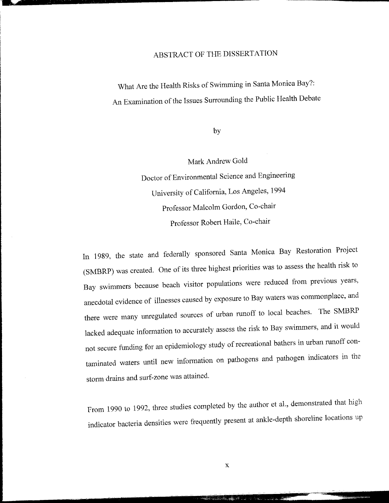## ABSTRACT OF THE DISSERTATION

What Are the Health Risks of Swimming in Santa Monica Bay?: An Examination of the Issues Surrounding the Public Health Debate

by

Mark Andrew Gold Doctor of Environmental Science and Engineering University of California, Los Angeles, 1994 Professor Malcolm Gordon, Co-chair Professor Robert Haile, Co-chair

In 1989, the state and federally sponsored Santa Monica Bay Restoration Project (SMBRP) was created. One of its three highest priorities was to assess the health risk to Bay swimmers because beach visitor populations were reduced from previous years, anecdotal evidence of illnesses caused by exposure to Bay waters was commonplace, and there were many unregulated sources of urban runoff to local beaches. The 5MBRP lacked adequate information to accurately assess the risk to Bay swimmers, and it would not secure funding for an epidemiology study of recreational bathers in urban runoff contaminated waters until new information on pathogens and pathogen indicators in the storm drains and surf-zone was attained.

From 1990 to 1992, three studies completed by the author et al., demonstrated that high indicator bacteria densities were frequently present at ankle-depth shoreline locations up

- --::::---~--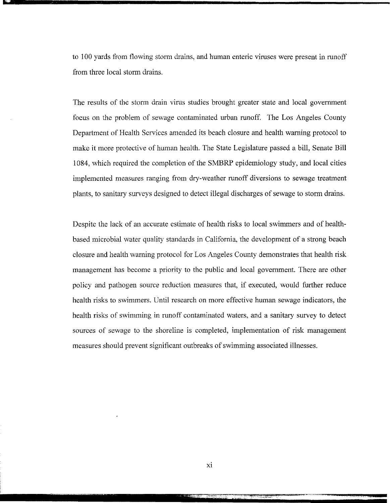to 100 yards from flowing storm drains, and human enteric viruses were present in runoff from three local storm drains.

The results of the storm drain virus studies brought greater state and local government focus on the problem of sewage contaminated urban runoff. The Los Angeles County Department of Health Services amended its beach closure and health warning protocol to make it more protective of human health. The State Legislature passed a bill, Senate Bill 1084, which required the completion of the 5MBRP epidemiology study, and local cities implemented measures ranging from dry-weather runoff diversions to sewage treatment plants, to sanitary surveys designed to detect illegal discharges of sewage to storm drains.

Despite the lack of an accurate estimate of health risks to local swimmers and of healthbased microbial water quality standards in California, the development of a strong beach closure and health warning protocol for Los Angeles County demonstrates that health risk management has become a priority to the public and local government. There are other policy and pathogen source reduction measures that, if executed, would further reduce health risks to swimmers. Until research on more effective human sewage indicators, the health risks of swimming in runoff contaminated waters, and a sanitary survey to detect sources of sewage to the shoreline is completed, implementation of risk management measures should prevent significant outbreaks of swimming associated illnesses.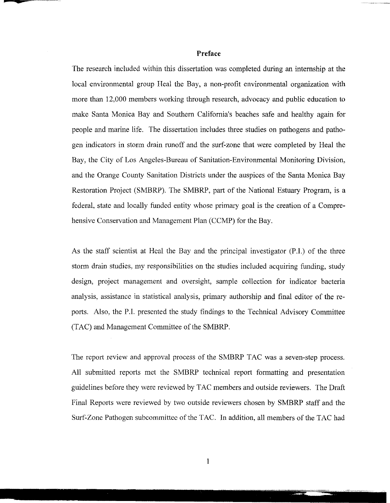#### **Preface**

The research included within this dissertation was completed during an internship at the local environmental group Heal the Bay, a non-profit environmental organization with more than 12,000 members working through research, advocacy and public education to make Santa Monica Bay and Southern California's beaches safe and healthy again for people and marine life. The dissertation includes three studies on pathogens and pathogen indicators in storm drain runoff and the surf-zone that were completed by Heal the Bay, the City of Los Angeles-Bureau of Sanitation-Environmental Monitoring Division, and the Orange County Sanitation Districts under the auspices of the Santa Monica Bay Restoration Project (SMBRP). The 5MBRP, part of the National Estuary Program, is a federal, state and locally funded entity whose primary goal is the creation of a Comprehensive Conservation and Management Plan (CCMP) for the Bay.

As the staff scientist at Heal the Bay and the principal investigator (P.I.) of the three storm drain studies, my responsibilities on the studies included acquiring funding, study design, project management and oversight, sample collection for indicator bacteria analysis, assistance in statistical analysis, primary authorship and final editor of the reports. Also, the P.I. presented the study findings to the Technical Advisory Committee (TAC) and Management Committee of the 5MBRP.

The report review and approval process of the 5MBRP TAC was a seven-step process. All submitted reports met the 5MBRP technical report formatting and presentation guidelines before they were reviewed by TAC members and outside reviewers. The Draft Final Reports were reviewed by two outside reviewers chosen by 5MBRP staff and the Surf-Zone Pathogen subcommittee of the TAC. In addition, all members of the TAC had

-=

- - "